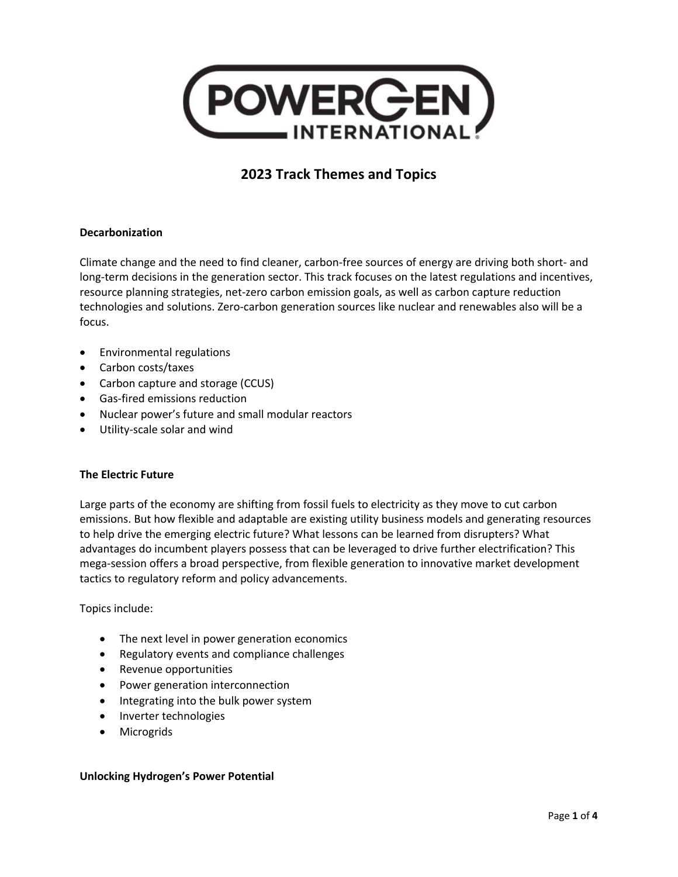

## **Decarbonization**

Climate change and the need to find cleaner, carbon-free sources of energy are driving both short- and long-term decisions in the generation sector. This track focuses on the latest regulations and incentives, resource planning strategies, net-zero carbon emission goals, as well as carbon capture reduction technologies and solutions. Zero-carbon generation sources like nuclear and renewables also will be a focus.

- Environmental regulations
- Carbon costs/taxes
- Carbon capture and storage (CCUS)
- Gas-fired emissions reduction
- Nuclear power's future and small modular reactors
- Utility-scale solar and wind

### **The Electric Future**

Large parts of the economy are shifting from fossil fuels to electricity as they move to cut carbon emissions. But how flexible and adaptable are existing utility business models and generating resources to help drive the emerging electric future? What lessons can be learned from disrupters? What advantages do incumbent players possess that can be leveraged to drive further electrification? This mega-session offers a broad perspective, from flexible generation to innovative market development tactics to regulatory reform and policy advancements.

Topics include:

- The next level in power generation economics
- Regulatory events and compliance challenges
- Revenue opportunities
- Power generation interconnection
- Integrating into the bulk power system
- Inverter technologies
- **Microgrids**

#### **Unlocking Hydrogen's Power Potential**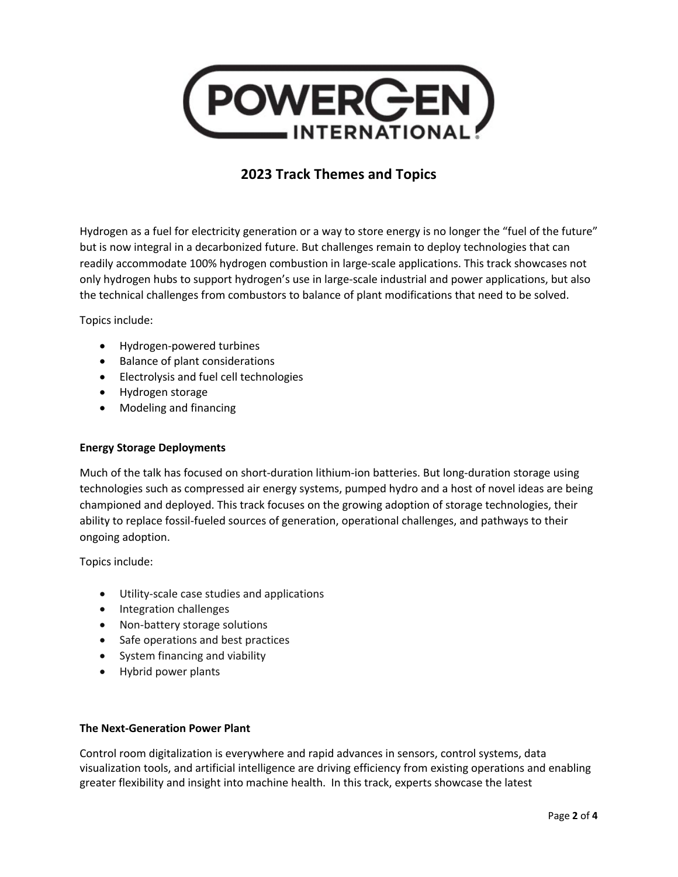

Hydrogen as a fuel for electricity generation or a way to store energy is no longer the "fuel of the future" but is now integral in a decarbonized future. But challenges remain to deploy technologies that can readily accommodate 100% hydrogen combustion in large-scale applications. This track showcases not only hydrogen hubs to support hydrogen's use in large-scale industrial and power applications, but also the technical challenges from combustors to balance of plant modifications that need to be solved.

Topics include:

- Hydrogen-powered turbines
- Balance of plant considerations
- Electrolysis and fuel cell technologies
- Hydrogen storage
- Modeling and financing

## **Energy Storage Deployments**

Much of the talk has focused on short-duration lithium-ion batteries. But long-duration storage using technologies such as compressed air energy systems, pumped hydro and a host of novel ideas are being championed and deployed. This track focuses on the growing adoption of storage technologies, their ability to replace fossil-fueled sources of generation, operational challenges, and pathways to their ongoing adoption.

Topics include:

- Utility-scale case studies and applications
- Integration challenges
- Non-battery storage solutions
- Safe operations and best practices
- System financing and viability
- Hybrid power plants

#### **The Next-Generation Power Plant**

Control room digitalization is everywhere and rapid advances in sensors, control systems, data visualization tools, and artificial intelligence are driving efficiency from existing operations and enabling greater flexibility and insight into machine health. In this track, experts showcase the latest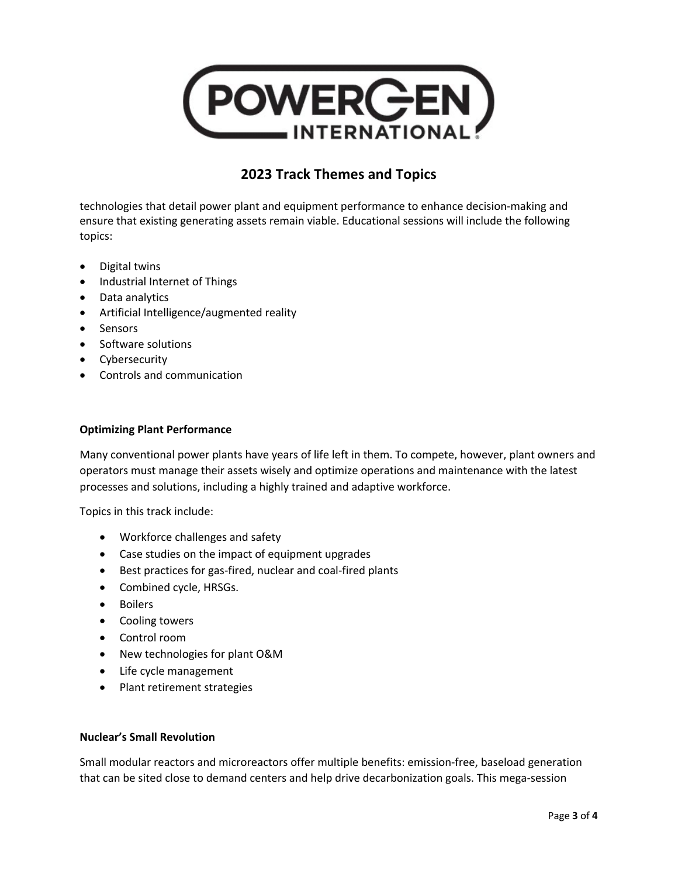

technologies that detail power plant and equipment performance to enhance decision-making and ensure that existing generating assets remain viable. Educational sessions will include the following topics:

- Digital twins
- Industrial Internet of Things
- Data analytics
- Artificial Intelligence/augmented reality
- Sensors
- Software solutions
- Cybersecurity
- Controls and communication

### **Optimizing Plant Performance**

Many conventional power plants have years of life left in them. To compete, however, plant owners and operators must manage their assets wisely and optimize operations and maintenance with the latest processes and solutions, including a highly trained and adaptive workforce.

Topics in this track include:

- Workforce challenges and safety
- Case studies on the impact of equipment upgrades
- Best practices for gas-fired, nuclear and coal-fired plants
- Combined cycle, HRSGs.
- Boilers
- Cooling towers
- Control room
- New technologies for plant O&M
- Life cycle management
- Plant retirement strategies

## **Nuclear's Small Revolution**

Small modular reactors and microreactors offer multiple benefits: emission-free, baseload generation that can be sited close to demand centers and help drive decarbonization goals. This mega-session